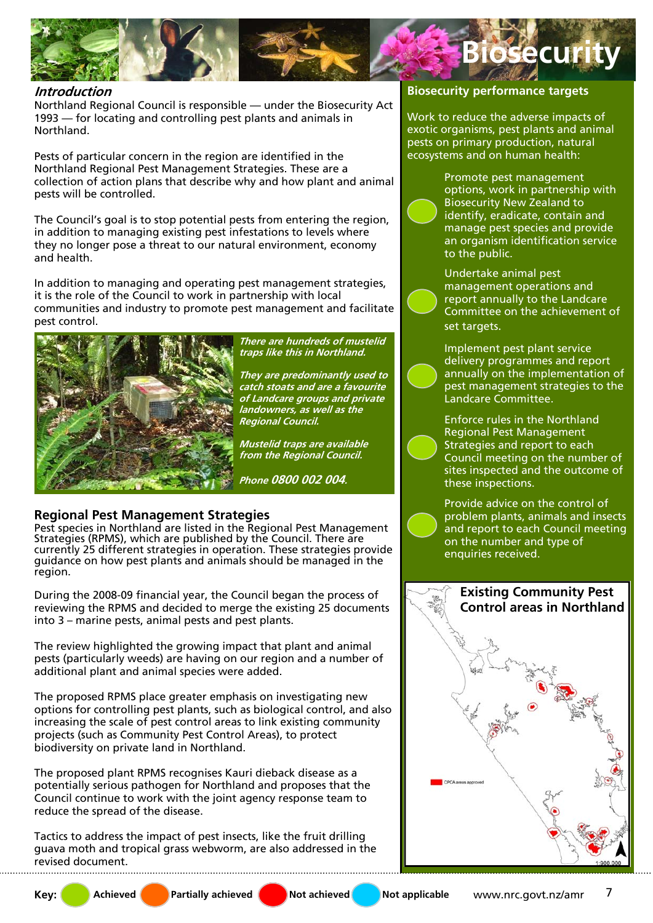

### **Introduction**

Northland Regional Council is responsible — under the Biosecurity Act 1993 — for locating and controlling pest plants and animals in Northland.

Pests of particular concern in the region are identified in the Northland Regional Pest Management Strategies. These are a collection of action plans that describe why and how plant and animal pests will be controlled.

The Council's goal is to stop potential pests from entering the region, in addition to managing existing pest infestations to levels where they no longer pose a threat to our natural environment, economy and health.

In addition to managing and operating pest management strategies, it is the role of the Council to work in partnership with local communities and industry to promote pest management and facilitate pest control.



**There are hundreds of mustelid traps like this in Northland.** 

**They are predominantly used to catch stoats and are a favourite of Landcare groups and private landowners, as well as the Regional Council.** 

**Mustelid traps are available from the Regional Council.** 

**Phone 0800 002 004.** 

### **Regional Pest Management Strategies**

Pest species in Northland are listed in the Regional Pest Management Strategies (RPMS), which are published by the Council. There are currently 25 different strategies in operation. These strategies provide guidance on how pest plants and animals should be managed in the region.

During the 2008-09 financial year, the Council began the process of reviewing the RPMS and decided to merge the existing 25 documents into 3 – marine pests, animal pests and pest plants.

The review highlighted the growing impact that plant and animal pests (particularly weeds) are having on our region and a number of additional plant and animal species were added.

The proposed RPMS place greater emphasis on investigating new options for controlling pest plants, such as biological control, and also increasing the scale of pest control areas to link existing community projects (such as Community Pest Control Areas), to protect biodiversity on private land in Northland.

The proposed plant RPMS recognises Kauri dieback disease as a potentially serious pathogen for Northland and proposes that the Council continue to work with the joint agency response team to reduce the spread of the disease.

Tactics to address the impact of pest insects, like the fruit drilling guava moth and tropical grass webworm, are also addressed in the revised document.

#### **Biosecurity performance targets**

Work to reduce the adverse impacts of exotic organisms, pest plants and animal pests on primary production, natural ecosystems and on human health:



Promote pest management options, work in partnership with Biosecurity New Zealand to identify, eradicate, contain and manage pest species and provide an organism identification service to the public.

Undertake animal pest management operations and report annually to the Landcare Committee on the achievement of set targets.

Implement pest plant service delivery programmes and report annually on the implementation of pest management strategies to the Landcare Committee.

Enforce rules in the Northland Regional Pest Management Strategies and report to each Council meeting on the number of sites inspected and the outcome of these inspections.

Provide advice on the control of problem plants, animals and insects and report to each Council meeting on the number and type of enquiries received.

**Existing Community Pest Control areas in Northland**